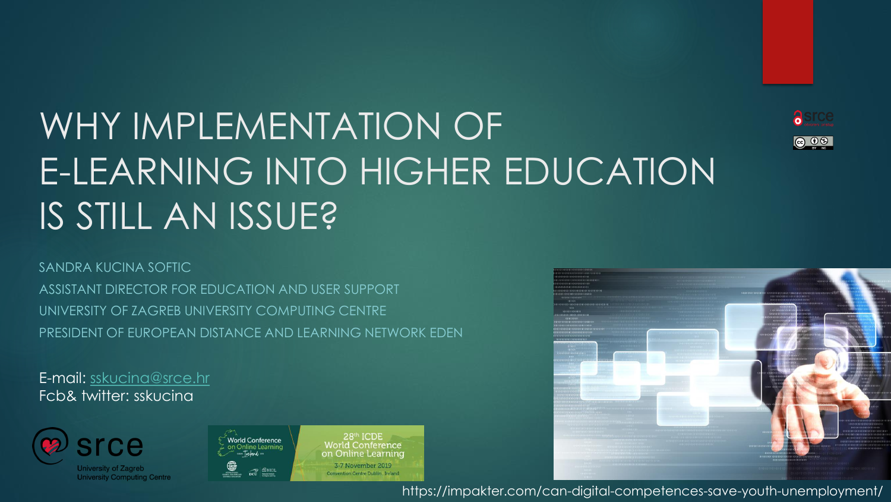## WHY IMPLEMENTATION OF E-LEARNING INTO HIGHER EDUCATION IS STILL AN ISSUE?



SANDRA KUCINA SOFTIC ASSISTANT DIRECTOR FOR EDUCATION AND USER SUPPORT

UNIVERSITY OF ZAGREB UNIVERSITY COMPUTING CENTRE PRESIDENT OF EUROPEAN DISTANCE AND LEARNING NETWORK EDEN

E-mail: [sskucina@srce.hr](mailto:sskucina@srce.hr) Fcb& twitter: sskucina



University of Zagreb **University Computing Centre** 



28th ICDE World Conference on Online Learning 3-7 November 2019 Convention Centre Dublin, Ireland



https://impakter.com/can-digital-competences-save-youth-unemployment/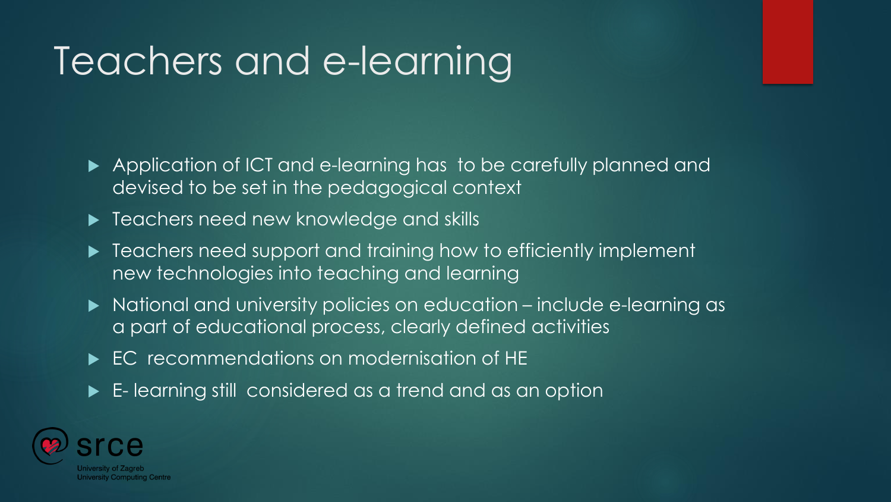## Teachers and e-learning

- Application of ICT and e-learning has to be carefully planned and devised to be set in the pedagogical context
- **Figure 1** Teachers need new knowledge and skills
- ▶ Teachers need support and training how to efficiently implement new technologies into teaching and learning
- National and university policies on education include e-learning as a part of educational process, clearly defined activities
- EC recommendations on modernisation of HE
- E- learning still considered as a trend and as an option

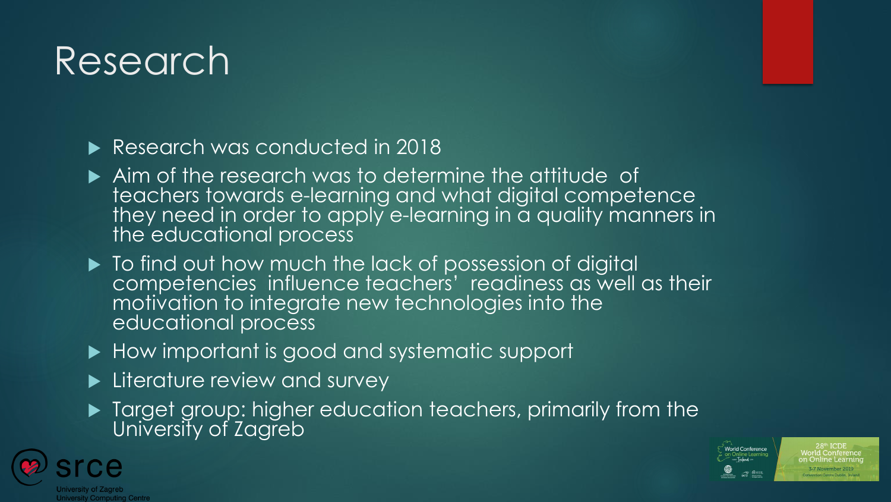## Research

Research was conducted in 2018

- Aim of the research was to determine the attitude of teachers towards e-learning and what digital competence they need in order to apply e-learning in a quality manners in the educational process
- $\blacktriangleright$  To find out how much the lack of possession of digital competencies influence teachers' readiness as well as their motivation to integrate new technologies into the educational process
- ▶ How important is good and systematic support
- **Literature review and survey**
- **Target group: higher education teachers, primarily from the** University of Zagreb



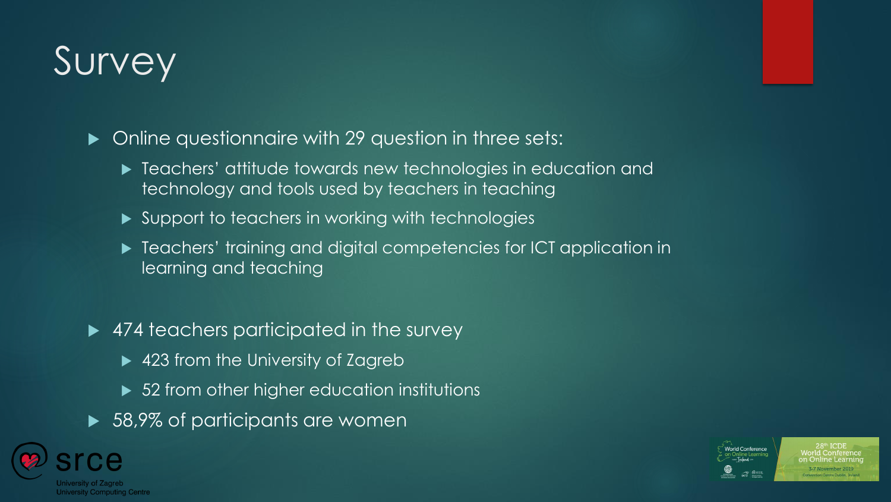## Survey

 $\blacktriangleright$  Online questionnaire with 29 question in three sets:

- $\blacktriangleright$  Teachers' attitude towards new technologies in education and technology and tools used by teachers in teaching
- ▶ Support to teachers in working with technologies
- ▶ Teachers' training and digital competencies for ICT application in learning and teaching
- ▶ 474 teachers participated in the survey
	- ▶ 423 from the University of Zagreb
	- ▶ 52 from other higher education institutions
- ▶ 58,9% of participants are women



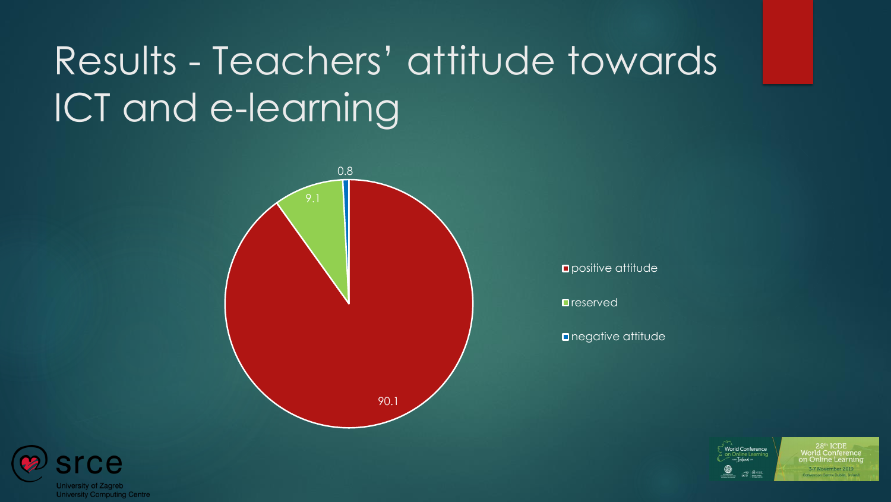## Results - Teachers' attitude towards ICT and e-learning



**Opositive attitude** 

reserved

**negative attitude** 





 $28<sup>th</sup>$  ICDE **Vorld Conference** on Online Learning 3-7 November 2019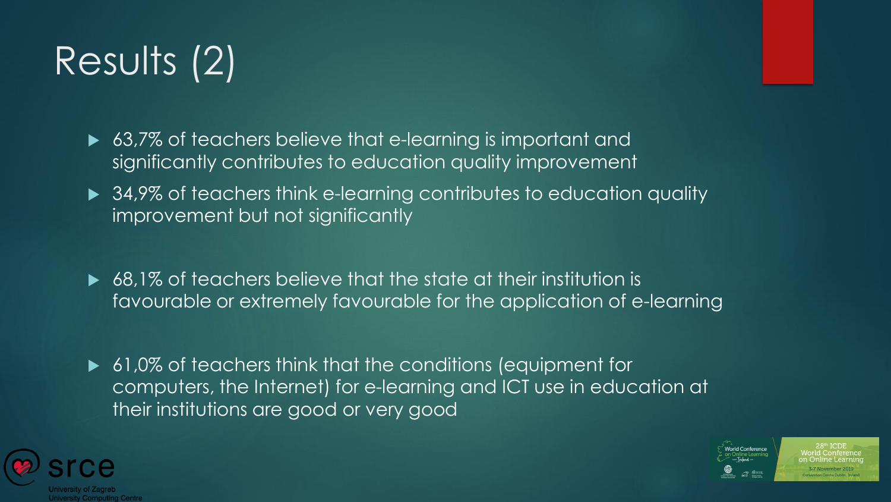# Results (2)

► 63,7% of teachers believe that e-learning is important and significantly contributes to education quality improvement

- ▶ 34,9% of teachers think e-learning contributes to education quality improvement but not significantly
- ▶ 68,1% of teachers believe that the state at their institution is favourable or extremely favourable for the application of e-learning
- ▶ 61,0% of teachers think that the conditions (equipment for computers, the Internet) for e-learning and ICT use in education at their institutions are good or very good



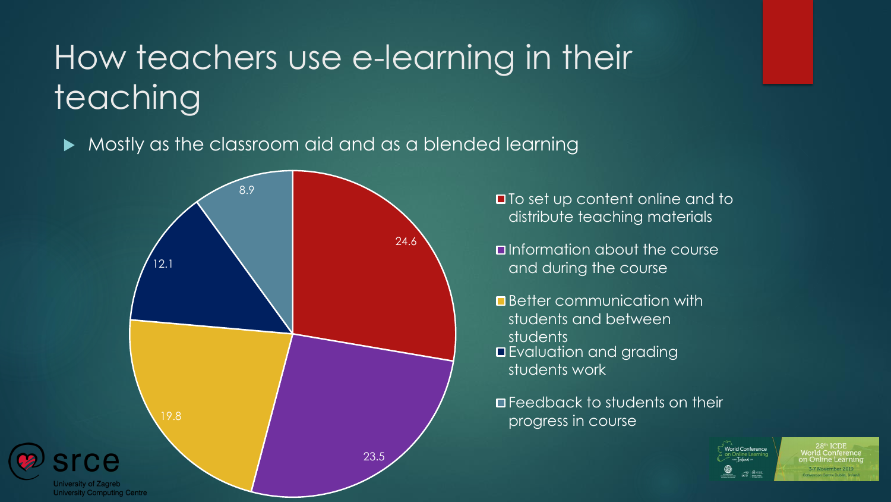#### How teachers use e-learning in their teaching

 $\blacktriangleright$  Mostly as the classroom aid and as a blended learning



distribute teaching materials

- **D**Information about the course and during the course
- **Better communication with** students and between students **E**valuation and grading students work

**O** Feedback to students on their progress in course



-7 November 2019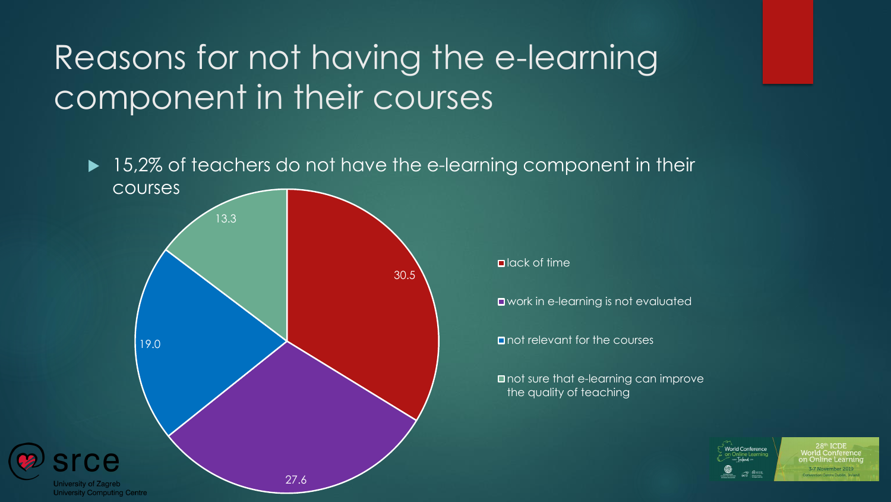#### Reasons for not having the e-learning component in their courses



**Vorld Conference**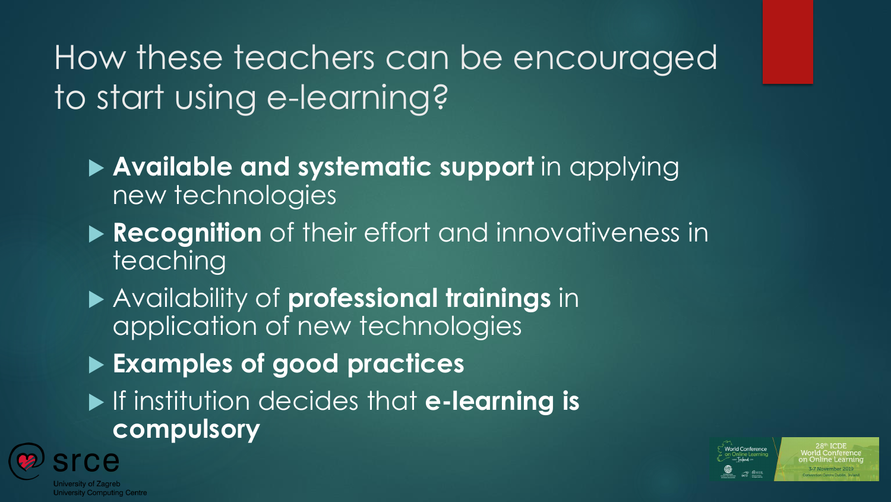#### How these teachers can be encouraged to start using e-learning?

- **Available and systematic support** in applying new technologies
- **Recognition** of their effort and innovativeness in teaching
- Availability of **professional trainings** in application of new technologies
- **Examples of good practices**
- If institution decides that **e-learning is compulsory**



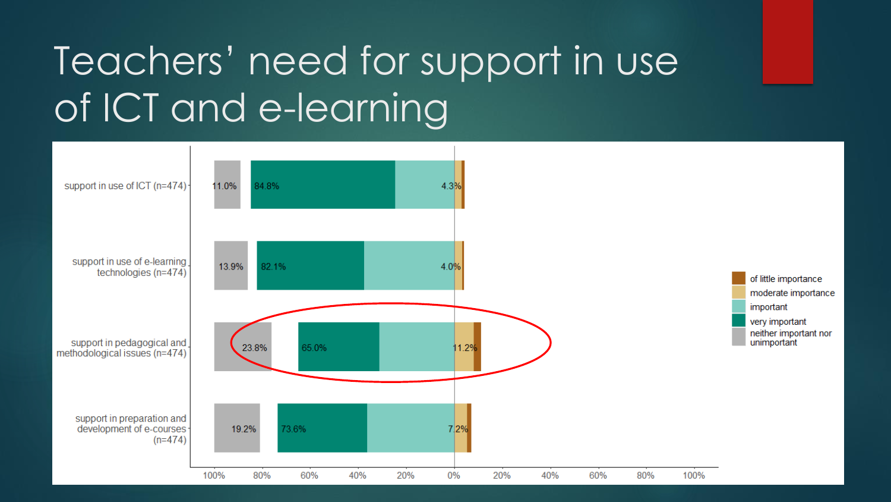## Teachers' need for support in use of ICT and e-learning

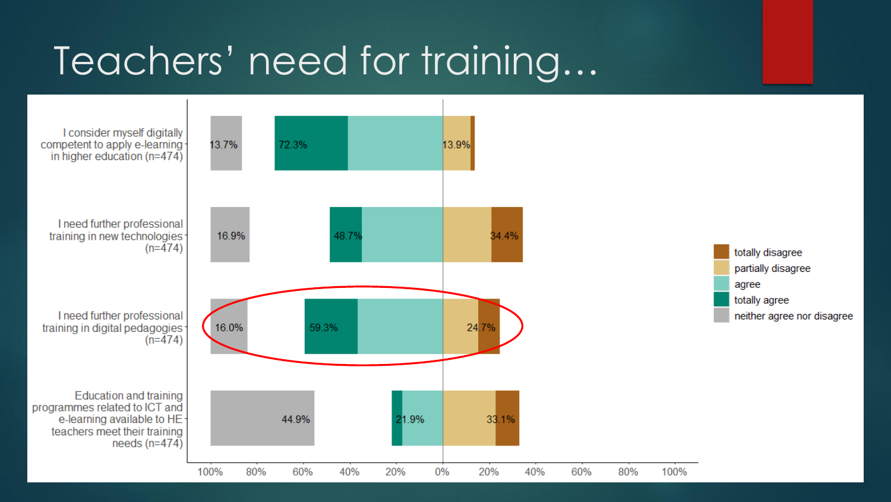#### Teachers' need for training…

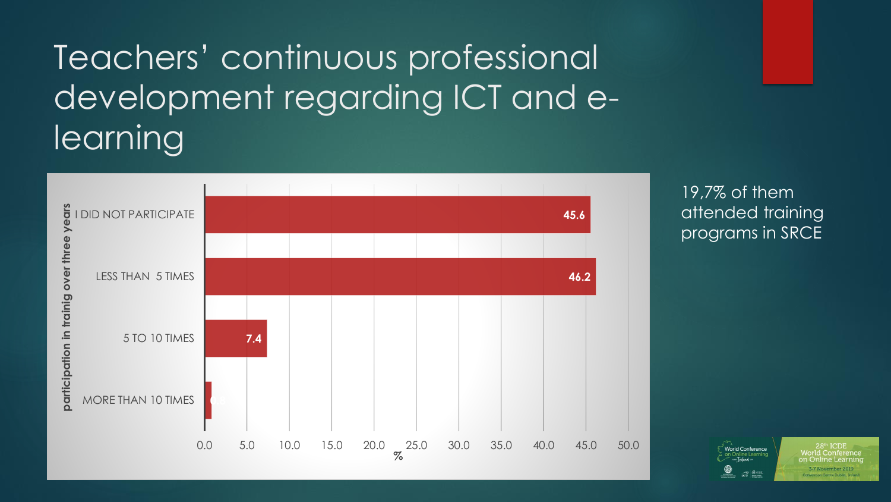#### Teachers' continuous professional development regarding ICT and elearning



19,7% of them attended training programs in SRCE

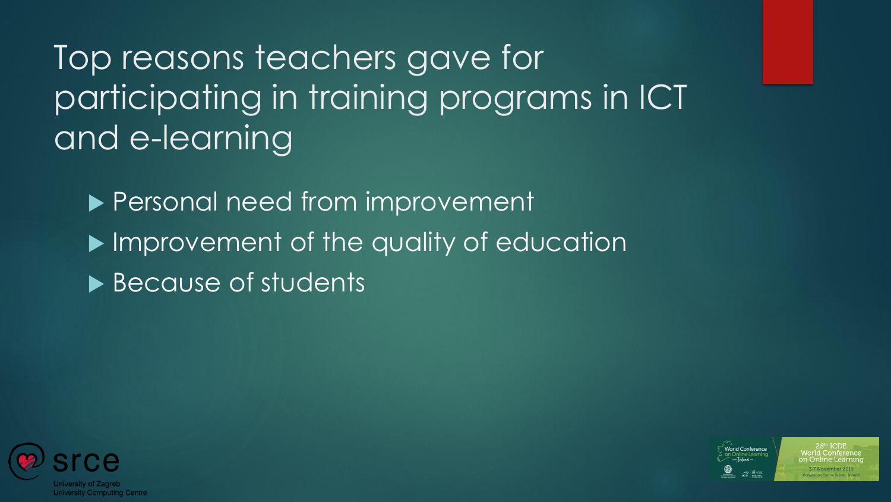Top reasons teachers gave for participating in training programs in ICT and e-learning

▶ Personal need from improvement **IMPROVEMENT of the quality of education** ▶ Because of students



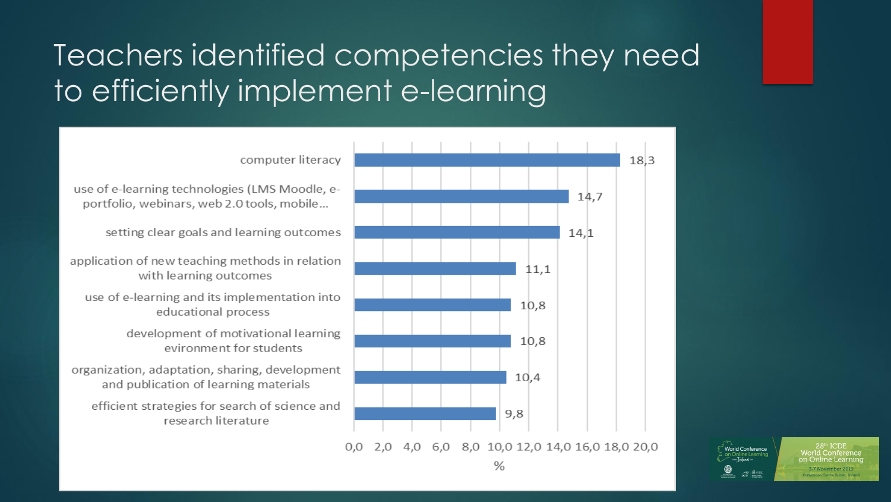#### Teachers identified competencies they need to efficiently implement e-learning



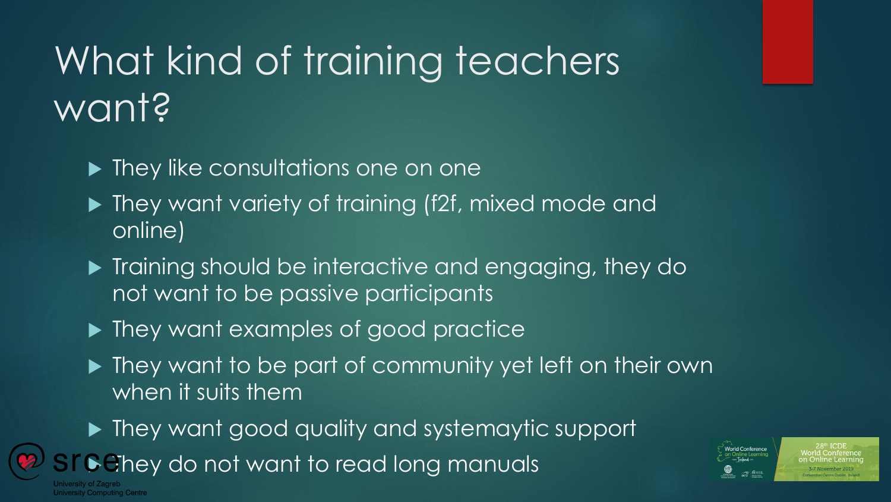## What kind of training teachers want?

- ▶ They like consultations one on one
- ▶ They want variety of training (f2f, mixed mode and online)
- **Training should be interactive and engaging, they do** not want to be passive participants
- ▶ They want examples of good practice
- ▶ They want to be part of community yet left on their own when it suits them
- ▶ They want good quality and systemaytic support

**They do not want to read long manuals** 

niversity Computing Centre

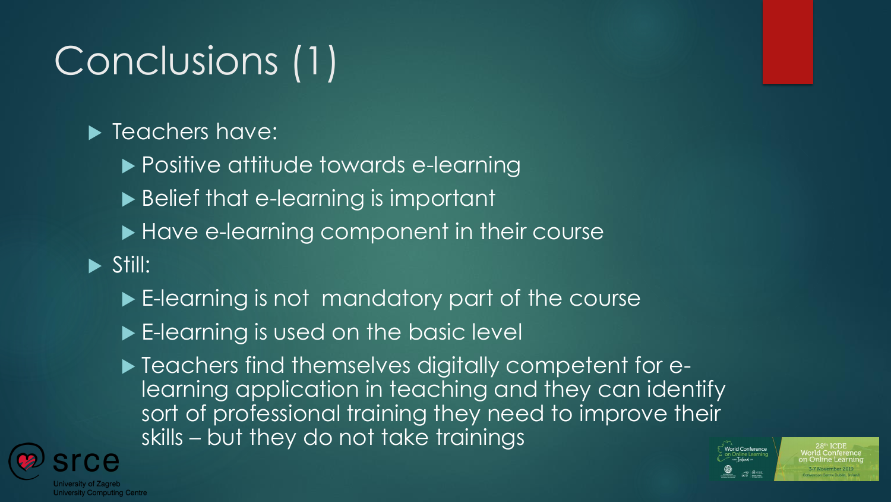# Conclusions (1)

#### **F** Teachers have:

- ▶ Positive attitude towards e-learning
- ▶ Belief that e-learning is important
- ▶ Have e-learning component in their course
- $\triangleright$  Still:
	- E-learning is not mandatory part of the course
	- E-learning is used on the basic level
	- $\blacktriangleright$  Teachers find themselves digitally competent for elearning application in teaching and they can identify sort of professional training they need to improve their skills – but they do not take trainings